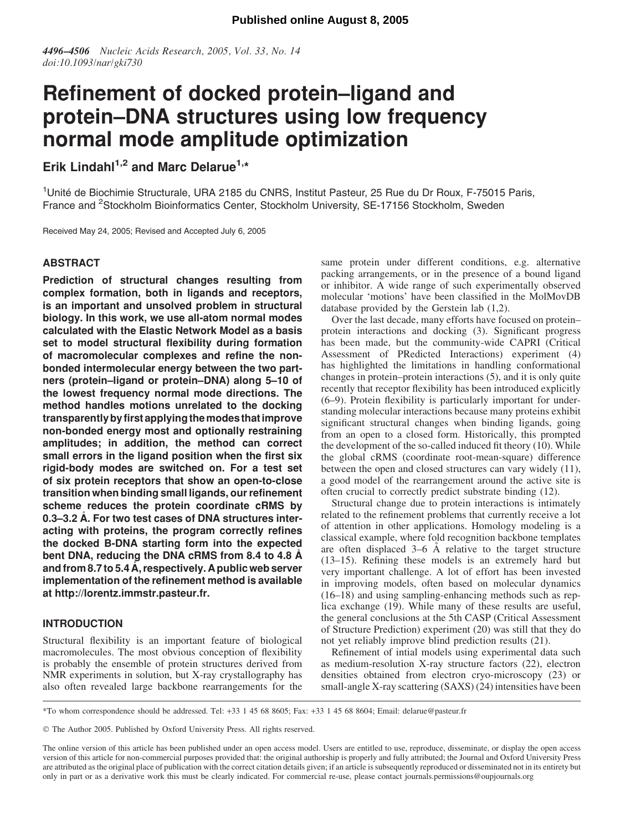4496–4506 Nucleic Acids Research, 2005, Vol. 33, No. 14 doi:10.1093/nar/gki730

# Refinement of docked protein–ligand and protein–DNA structures using low frequency normal mode amplitude optimization

Erik Lindahl<sup>1,2</sup> and Marc Delarue<sup>1,\*</sup>

<sup>1</sup>Unité de Biochimie Structurale, URA 2185 du CNRS, Institut Pasteur, 25 Rue du Dr Roux, F-75015 Paris, France and <sup>2</sup>Stockholm Bioinformatics Center, Stockholm University, SE-17156 Stockholm, Sweden

Received May 24, 2005; Revised and Accepted July 6, 2005

# ABSTRACT

Prediction of structural changes resulting from complex formation, both in ligands and receptors, is an important and unsolved problem in structural biology. In this work, we use all-atom normal modes calculated with the Elastic Network Model as a basis set to model structural flexibility during formation of macromolecular complexes and refine the nonbonded intermolecular energy between the two partners (protein–ligand or protein–DNA) along 5–10 of the lowest frequency normal mode directions. The method handles motions unrelated to the docking transparently by first applying the modes that improve non-bonded energy most and optionally restraining amplitudes; in addition, the method can correct small errors in the ligand position when the first six rigid-body modes are switched on. For a test set of six protein receptors that show an open-to-close transition when binding small ligands, our refinement scheme reduces the protein coordinate cRMS by 0.3–3.2 Å. For two test cases of DNA structures interacting with proteins, the program correctly refines the docked B-DNA starting form into the expected bent DNA, reducing the DNA cRMS from 8.4 to 4.8 A and from 8.7 to 5.4 A, respectively. A public web server implementation of the refinement method is available at [http://lorentz.immstr.pasteur.fr.](http://lorentz.immstr.pasteur.fr)

## INTRODUCTION

Structural flexibility is an important feature of biological macromolecules. The most obvious conception of flexibility is probably the ensemble of protein structures derived from NMR experiments in solution, but X-ray crystallography has also often revealed large backbone rearrangements for the same protein under different conditions, e.g. alternative packing arrangements, or in the presence of a bound ligand or inhibitor. A wide range of such experimentally observed molecular 'motions' have been classified in the MolMovDB database provided by the Gerstein lab (1,2).

Over the last decade, many efforts have focused on protein– protein interactions and docking (3). Significant progress has been made, but the community-wide CAPRI (Critical Assessment of PRedicted Interactions) experiment (4) has highlighted the limitations in handling conformational changes in protein–protein interactions (5), and it is only quite recently that receptor flexibility has been introduced explicitly (6–9). Protein flexibility is particularly important for understanding molecular interactions because many proteins exhibit significant structural changes when binding ligands, going from an open to a closed form. Historically, this prompted the development of the so-called induced fit theory (10). While the global cRMS (coordinate root-mean-square) difference between the open and closed structures can vary widely (11), a good model of the rearrangement around the active site is often crucial to correctly predict substrate binding (12).

Structural change due to protein interactions is intimately related to the refinement problems that currently receive a lot of attention in other applications. Homology modeling is a classical example, where fold recognition backbone templates are often displaced  $3-6$  Å relative to the target structure (13–15). Refining these models is an extremely hard but very important challenge. A lot of effort has been invested in improving models, often based on molecular dynamics (16–18) and using sampling-enhancing methods such as replica exchange (19). While many of these results are useful, the general conclusions at the 5th CASP (Critical Assessment of Structure Prediction) experiment (20) was still that they do not yet reliably improve blind prediction results (21).

Refinement of intial models using experimental data such as medium-resolution X-ray structure factors (22), electron densities obtained from electron cryo-microscopy (23) or small-angle X-ray scattering (SAXS) (24) intensities have been

\*To whom correspondence should be addressed. Tel: +33 1 45 68 8605; Fax: +33 1 45 68 8604; Email: delarue@pasteur.fr

- The Author 2005. Published by Oxford University Press. All rights reserved.

The online version of this article has been published under an open access model. Users are entitled to use, reproduce, disseminate, or display the open access version of this article for non-commercial purposes provided that: the original authorship is properly and fully attributed; the Journal and Oxford University Press are attributed as the original place of publication with the correct citation details given; if an article is subsequently reproduced or disseminated not in its entirety but only in part or as a derivative work this must be clearly indicated. For commercial re-use, please contact journals.permissions@oupjournals.org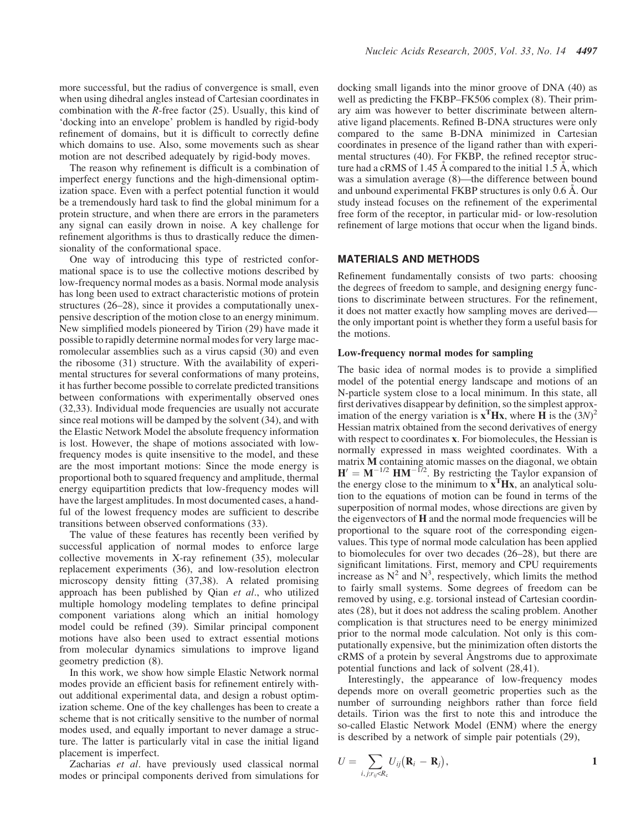more successful, but the radius of convergence is small, even when using dihedral angles instead of Cartesian coordinates in combination with the  $R$ -free factor (25). Usually, this kind of 'docking into an envelope' problem is handled by rigid-body refinement of domains, but it is difficult to correctly define which domains to use. Also, some movements such as shear motion are not described adequately by rigid-body moves.

The reason why refinement is difficult is a combination of imperfect energy functions and the high-dimensional optimization space. Even with a perfect potential function it would be a tremendously hard task to find the global minimum for a protein structure, and when there are errors in the parameters any signal can easily drown in noise. A key challenge for refinement algorithms is thus to drastically reduce the dimensionality of the conformational space.

One way of introducing this type of restricted conformational space is to use the collective motions described by low-frequency normal modes as a basis. Normal mode analysis has long been used to extract characteristic motions of protein structures (26–28), since it provides a computationally unexpensive description of the motion close to an energy minimum. New simplified models pioneered by Tirion (29) have made it possible to rapidly determine normal modes for very large macromolecular assemblies such as a virus capsid (30) and even the ribosome (31) structure. With the availability of experimental structures for several conformations of many proteins, it has further become possible to correlate predicted transitions between conformations with experimentally observed ones (32,33). Individual mode frequencies are usually not accurate since real motions will be damped by the solvent (34), and with the Elastic Network Model the absolute frequency information is lost. However, the shape of motions associated with lowfrequency modes is quite insensitive to the model, and these are the most important motions: Since the mode energy is proportional both to squared frequency and amplitude, thermal energy equipartition predicts that low-frequency modes will have the largest amplitudes. In most documented cases, a handful of the lowest frequency modes are sufficient to describe transitions between observed conformations (33).

The value of these features has recently been verified by successful application of normal modes to enforce large collective movements in X-ray refinement (35), molecular replacement experiments (36), and low-resolution electron microscopy density fitting (37,38). A related promising approach has been published by Qian et al., who utilized multiple homology modeling templates to define principal component variations along which an initial homology model could be refined (39). Similar principal component motions have also been used to extract essential motions from molecular dynamics simulations to improve ligand geometry prediction (8).

In this work, we show how simple Elastic Network normal modes provide an efficient basis for refinement entirely without additional experimental data, and design a robust optimization scheme. One of the key challenges has been to create a scheme that is not critically sensitive to the number of normal modes used, and equally important to never damage a structure. The latter is particularly vital in case the initial ligand placement is imperfect.

Zacharias et al. have previously used classical normal modes or principal components derived from simulations for docking small ligands into the minor groove of DNA (40) as well as predicting the FKBP–FK506 complex (8). Their primary aim was however to better discriminate between alternative ligand placements. Refined B-DNA structures were only compared to the same B-DNA minimized in Cartesian coordinates in presence of the ligand rather than with experimental structures (40). For FKBP, the refined receptor structure had a cRMS of  $1.45$  A compared to the initial 1.5 A, which was a simulation average (8)—the difference between bound and unbound experimental FKBP structures is only 0.6 Å. Our study instead focuses on the refinement of the experimental free form of the receptor, in particular mid- or low-resolution refinement of large motions that occur when the ligand binds.

## MATERIALS AND METHODS

Refinement fundamentally consists of two parts: choosing the degrees of freedom to sample, and designing energy functions to discriminate between structures. For the refinement, it does not matter exactly how sampling moves are derived the only important point is whether they form a useful basis for the motions.

## Low-frequency normal modes for sampling

The basic idea of normal modes is to provide a simplified model of the potential energy landscape and motions of an N-particle system close to a local minimum. In this state, all first derivatives disappear by definition, so the simplest approximation of the energy variation is  $\mathbf{x}^T \mathbf{H} \mathbf{x}$ , where  $\mathbf{H}$  is the  $(3N)^2$ Hessian matrix obtained from the second derivatives of energy with respect to coordinates x. For biomolecules, the Hessian is normally expressed in mass weighted coordinates. With a matrix M containing atomic masses on the diagonal, we obtain  $H' = M^{-1/2} H M^{-1/2}$ . By restricting the Taylor expansion of the energy close to the minimum to  $\mathbf{x}^T$ **Hx**, an analytical solution to the equations of motion can be found in terms of the superposition of normal modes, whose directions are given by the eigenvectors of H and the normal mode frequencies will be proportional to the square root of the corresponding eigenvalues. This type of normal mode calculation has been applied to biomolecules for over two decades (26–28), but there are significant limitations. First, memory and CPU requirements increase as  $N^2$  and  $N^3$ , respectively, which limits the method to fairly small systems. Some degrees of freedom can be removed by using, e.g. torsional instead of Cartesian coordinates (28), but it does not address the scaling problem. Another complication is that structures need to be energy minimized prior to the normal mode calculation. Not only is this computationally expensive, but the minimization often distorts the cRMS of a protein by several Angstroms due to approximate potential functions and lack of solvent (28,41).

Interestingly, the appearance of low-frequency modes depends more on overall geometric properties such as the number of surrounding neighbors rather than force field details. Tirion was the first to note this and introduce the so-called Elastic Network Model (ENM) where the energy is described by a network of simple pair potentials (29),

$$
U=\sum_{i,j;r_{ij}\lt R_c}U_{ij}(\mathbf{R}_i-\mathbf{R}_j),\qquad 1
$$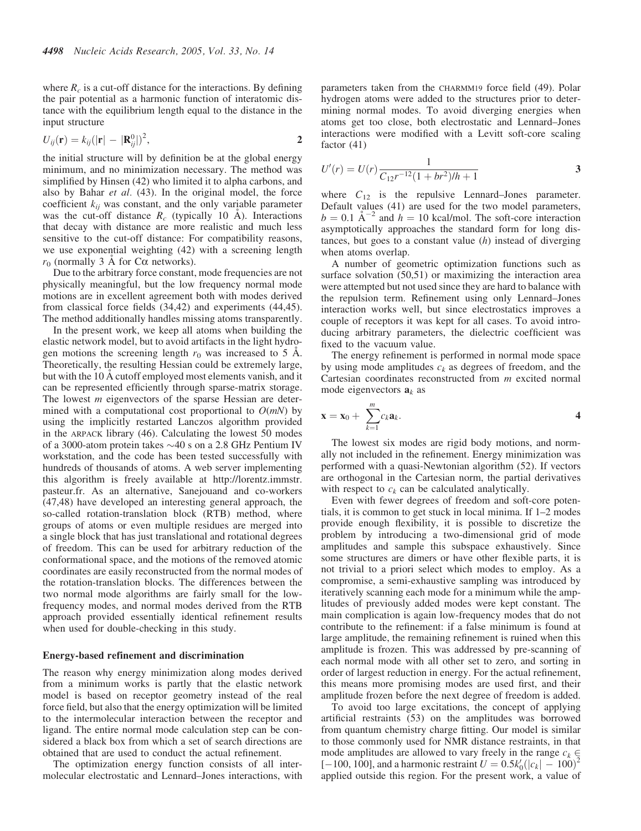where  $R_c$  is a cut-off distance for the interactions. By defining the pair potential as a harmonic function of interatomic distance with the equilibrium length equal to the distance in the input structure

$$
U_{ij}(\mathbf{r})=k_{ij}(|\mathbf{r}|-|\mathbf{R}_{ij}^0|)^2,
$$

the initial structure will by definition be at the global energy minimum, and no minimization necessary. The method was simplified by Hinsen (42) who limited it to alpha carbons, and also by Bahar et al. (43). In the original model, the force coefficient  $k_{ij}$  was constant, and the only variable parameter was the cut-off distance  $R_c$  (typically 10 Å). Interactions that decay with distance are more realistic and much less sensitive to the cut-off distance: For compatibility reasons, we use exponential weighting (42) with a screening length  $r_0$  (normally 3 Å for C $\alpha$  networks).

Due to the arbitrary force constant, mode frequencies are not physically meaningful, but the low frequency normal mode motions are in excellent agreement both with modes derived from classical force fields (34,42) and experiments (44,45). The method additionally handles missing atoms transparently.

In the present work, we keep all atoms when building the elastic network model, but to avoid artifacts in the light hydrogen motions the screening length  $r_0$  was increased to 5 Å. Theoretically, the resulting Hessian could be extremely large, but with the 10 Å cutoff employed most elements vanish, and it can be represented efficiently through sparse-matrix storage. The lowest  $m$  eigenvectors of the sparse Hessian are determined with a computational cost proportional to  $O(mN)$  by using the implicitly restarted Lanczos algorithm provided in the ARPACK library (46). Calculating the lowest 50 modes of a 3000-atom protein takes  $\sim$ 40 s on a 2.8 GHz Pentium IV workstation, and the code has been tested successfully with hundreds of thousands of atoms. A web server implementing this algorithm is freely available at [http://lorentz.immstr.](http://lorentz.immstr) pasteur.fr. As an alternative, Sanejouand and co-workers (47,48) have developed an interesting general approach, the so-called rotation-translation block (RTB) method, where groups of atoms or even multiple residues are merged into a single block that has just translational and rotational degrees of freedom. This can be used for arbitrary reduction of the conformational space, and the motions of the removed atomic coordinates are easily reconstructed from the normal modes of the rotation-translation blocks. The differences between the two normal mode algorithms are fairly small for the lowfrequency modes, and normal modes derived from the RTB approach provided essentially identical refinement results when used for double-checking in this study.

#### Energy-based refinement and discrimination

The reason why energy minimization along modes derived from a minimum works is partly that the elastic network model is based on receptor geometry instead of the real force field, but also that the energy optimization will be limited to the intermolecular interaction between the receptor and ligand. The entire normal mode calculation step can be considered a black box from which a set of search directions are obtained that are used to conduct the actual refinement.

The optimization energy function consists of all intermolecular electrostatic and Lennard–Jones interactions, with parameters taken from the CHARMM19 force field (49). Polar hydrogen atoms were added to the structures prior to determining normal modes. To avoid diverging energies when atoms get too close, both electrostatic and Lennard–Jones interactions were modified with a Levitt soft-core scaling factor (41)

$$
U'(r) = U(r)\frac{1}{C_{12}r^{-12}(1+br^2)/h+1}
$$
 3

where  $C_{12}$  is the repulsive Lennard–Jones parameter. Default values (41) are used for the two model parameters,  $b = 0.1 \text{ Å}^{-2}$  and  $h = 10 \text{ kcal/mol}$ . The soft-core interaction asymptotically approaches the standard form for long distances, but goes to a constant value  $(h)$  instead of diverging when atoms overlap.

A number of geometric optimization functions such as surface solvation (50,51) or maximizing the interaction area were attempted but not used since they are hard to balance with the repulsion term. Refinement using only Lennard–Jones interaction works well, but since electrostatics improves a couple of receptors it was kept for all cases. To avoid introducing arbitrary parameters, the dielectric coefficient was fixed to the vacuum value.

The energy refinement is performed in normal mode space by using mode amplitudes  $c_k$  as degrees of freedom, and the Cartesian coordinates reconstructed from m excited normal mode eigenvectors  $\mathbf{a}_k$  as

$$
\mathbf{x} = \mathbf{x}_0 + \sum_{k=1}^m c_k \mathbf{a}_k.
$$

The lowest six modes are rigid body motions, and normally not included in the refinement. Energy minimization was performed with a quasi-Newtonian algorithm (52). If vectors are orthogonal in the Cartesian norm, the partial derivatives with respect to  $c_k$  can be calculated analytically.

Even with fewer degrees of freedom and soft-core potentials, it is common to get stuck in local minima. If 1–2 modes provide enough flexibility, it is possible to discretize the problem by introducing a two-dimensional grid of mode amplitudes and sample this subspace exhaustively. Since some structures are dimers or have other flexible parts, it is not trivial to a priori select which modes to employ. As a compromise, a semi-exhaustive sampling was introduced by iteratively scanning each mode for a minimum while the amplitudes of previously added modes were kept constant. The main complication is again low-frequency modes that do not contribute to the refinement: if a false minimum is found at large amplitude, the remaining refinement is ruined when this amplitude is frozen. This was addressed by pre-scanning of each normal mode with all other set to zero, and sorting in order of largest reduction in energy. For the actual refinement, this means more promising modes are used first, and their amplitude frozen before the next degree of freedom is added.

To avoid too large excitations, the concept of applying artificial restraints (53) on the amplitudes was borrowed from quantum chemistry charge fitting. Our model is similar to those commonly used for NMR distance restraints, in that mode amplitudes are allowed to vary freely in the range  $c_k \in$ [-100, 100], and a harmonic restraint  $U = 0.5k'_{0}(|c_{k}| - 100)^{2}$ applied outside this region. For the present work, a value of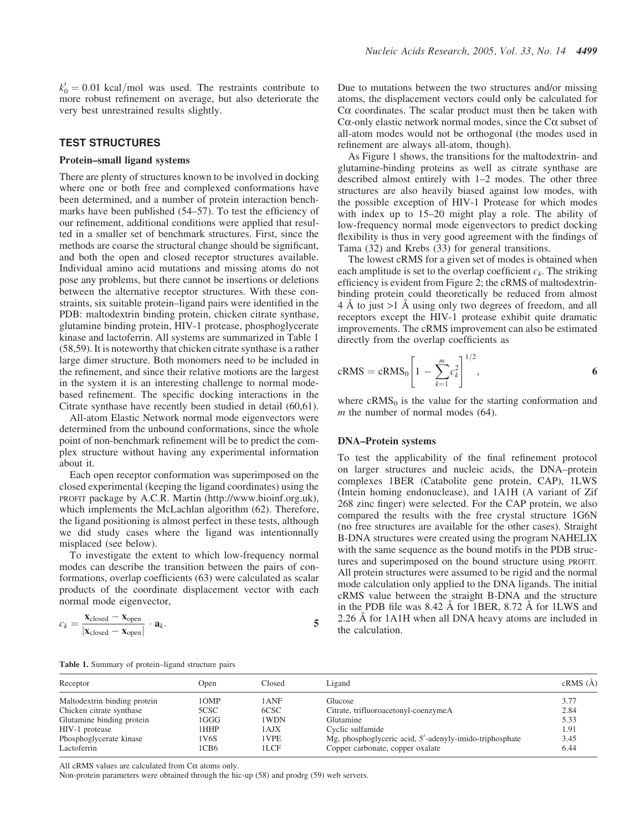$k'_0 = 0.01$  kcal/mol was used. The restraints contribute to more robust refinement on average, but also deteriorate the very best unrestrained results slightly.

## TEST STRUCTURES

## Protein–small ligand systems

There are plenty of structures known to be involved in docking where one or both free and complexed conformations have been determined, and a number of protein interaction benchmarks have been published (54–57). To test the efficiency of our refinement, additional conditions were applied that resulted in a smaller set of benchmark structures. First, since the methods are coarse the structural change should be significant, and both the open and closed receptor structures available. Individual amino acid mutations and missing atoms do not pose any problems, but there cannot be insertions or deletions between the alternative receptor structures. With these constraints, six suitable protein–ligand pairs were identified in the PDB: maltodextrin binding protein, chicken citrate synthase, glutamine binding protein, HIV-1 protease, phosphoglycerate kinase and lactoferrin. All systems are summarized in Table 1 (58,59). It is noteworthy that chicken citrate synthase is a rather large dimer structure. Both monomers need to be included in the refinement, and since their relative motions are the largest in the system it is an interesting challenge to normal modebased refinement. The specific docking interactions in the Citrate synthase have recently been studied in detail (60,61).

All-atom Elastic Network normal mode eigenvectors were determined from the unbound conformations, since the whole point of non-benchmark refinement will be to predict the complex structure without having any experimental information about it.

Each open receptor conformation was superimposed on the closed experimental (keeping the ligand coordinates) using the PROFIT package by A.C.R. Martin (<http://www.bioinf.org.uk>), which implements the McLachlan algorithm (62). Therefore, the ligand positioning is almost perfect in these tests, although we did study cases where the ligand was intentionnally misplaced (see below).

To investigate the extent to which low-frequency normal modes can describe the transition between the pairs of conformations, overlap coefficients (63) were calculated as scalar products of the coordinate displacement vector with each normal mode eigenvector,

$$
c_k = \frac{\mathbf{x}_{\text{closed}} - \mathbf{x}_{\text{open}}}{|\mathbf{x}_{\text{closed}} - \mathbf{x}_{\text{open}}|} \cdot \mathbf{a}_k.
$$

Due to mutations between the two structures and/or missing atoms, the displacement vectors could only be calculated for  $C\alpha$  coordinates. The scalar product must then be taken with  $C\alpha$ -only elastic network normal modes, since the  $C\alpha$  subset of all-atom modes would not be orthogonal (the modes used in refinement are always all-atom, though).

As Figure 1 shows, the transitions for the maltodextrin- and glutamine-binding proteins as well as citrate synthase are described almost entirely with 1–2 modes. The other three structures are also heavily biased against low modes, with the possible exception of HIV-1 Protease for which modes with index up to 15–20 might play a role. The ability of low-frequency normal mode eigenvectors to predict docking flexibility is thus in very good agreement with the findings of Tama (32) and Krebs (33) for general transitions.

The lowest cRMS for a given set of modes is obtained when each amplitude is set to the overlap coefficient  $c_k$ . The striking efficiency is evident from Figure 2; the cRMS of maltodextrinbinding protein could theoretically be reduced from almost  $4 \text{ Å}$  to just  $>1 \text{ Å}$  using only two degrees of freedom, and all receptors except the HIV-1 protease exhibit quite dramatic improvements. The cRMS improvement can also be estimated directly from the overlap coefficients as

$$
cRMS = cRMS_0 \left[ 1 - \sum_{k=1}^{m} c_k^2 \right]^{1/2},
$$
 6

where  $cRMS<sub>0</sub>$  is the value for the starting conformation and  $m$  the number of normal modes (64).

#### DNA–Protein systems

To test the applicability of the final refinement protocol on larger structures and nucleic acids, the DNA–protein complexes 1BER (Catabolite gene protein, CAP), 1LWS (Intein homing endonuclease), and 1A1H (A variant of Zif 268 zinc finger) were selected. For the CAP protein, we also compared the results with the free crystal structure 1G6N (no free structures are available for the other cases). Straight B-DNA structures were created using the program NAHELIX with the same sequence as the bound motifs in the PDB structures and superimposed on the bound structure using PROFIT. All protein structures were assumed to be rigid and the normal mode calculation only applied to the DNA ligands. The initial cRMS value between the straight B-DNA and the structure in the PDB file was 8.42 Å for 1BER, 8.72 Å for 1LWS and 2.26 A˚ for 1A1H when all DNA heavy atoms are included in the calculation.

| Receptor                     | Open  | Closed | Ligand                                                  | cRMS(A) |
|------------------------------|-------|--------|---------------------------------------------------------|---------|
| Maltodextrin binding protein | 10MP  | 1 ANF  | Glucose                                                 | 3.77    |
| Chicken citrate synthase     | 5CSC  | 6CSC   | Citrate, trifluoroacetonyl-coenzymeA                    | 2.84    |
| Glutamine binding protein    | 1GGG  | 1WDN   | Glutamine                                               | 5.33    |
| HIV-1 protease               | 1HHP  | 1 AJX  | Cyclic sulfamide                                        | 1.91    |
| Phosphoglycerate kinase      | 1 V6S | 1VPE   | Mg, phosphoglyceric acid, 5'-adenyly-imido-triphosphate | 3.45    |
| Lactoferrin                  | 1CB6  | 1LCF   | Copper carbonate, copper oxalate                        | 6.44    |
|                              |       |        |                                                         |         |

Table 1. Summary of protein–ligand structure pairs

All cRMS values are calculated from  $C\alpha$  atoms only.

Non-protein parameters were obtained through the hic-up (58) and prodrg (59) web servers.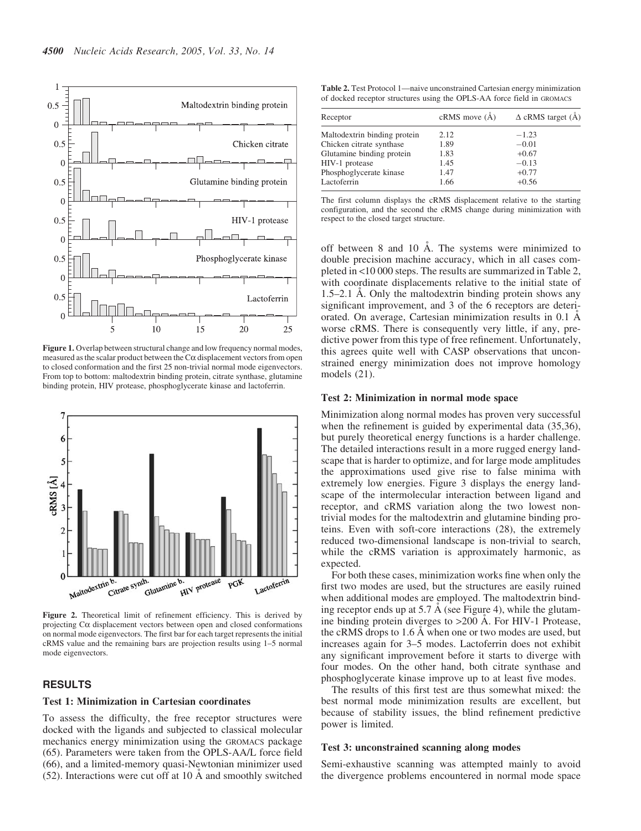

Figure 1. Overlap between structural change and low frequency normal modes, measured as the scalar product between the  $C\alpha$  displacement vectors from open to closed conformation and the first 25 non-trivial normal mode eigenvectors. From top to bottom: maltodextrin binding protein, citrate synthase, glutamine binding protein, HIV protease, phosphoglycerate kinase and lactoferrin.



Figure 2. Theoretical limit of refinement efficiency. This is derived by projecting  $C\alpha$  displacement vectors between open and closed conformations on normal mode eigenvectors. The first bar for each target represents the initial cRMS value and the remaining bars are projection results using 1–5 normal mode eigenvectors.

## RESULTS

## Test 1: Minimization in Cartesian coordinates

To assess the difficulty, the free receptor structures were docked with the ligands and subjected to classical molecular mechanics energy minimization using the GROMACS package (65). Parameters were taken from the OPLS-AA/L force field (66), and a limited-memory quasi-Newtonian minimizer used  $(52)$ . Interactions were cut off at 10  $\AA$  and smoothly switched

Table 2. Test Protocol 1—naive unconstrained Cartesian energy minimization of docked receptor structures using the OPLS-AA force field in GROMACS

| Receptor                     | $cRMS$ move $(\dot{A})$ | $\Delta$ cRMS target ( $\overline{A}$ ) |  |
|------------------------------|-------------------------|-----------------------------------------|--|
| Maltodextrin binding protein | 2.12                    | $-1.23$                                 |  |
| Chicken citrate synthase     | 1.89                    | $-0.01$                                 |  |
| Glutamine binding protein    | 1.83                    | $+0.67$                                 |  |
| HIV-1 protease               | 1.45                    | $-0.13$                                 |  |
| Phosphoglycerate kinase      | 1.47                    | $+0.77$                                 |  |
| Lactoferrin                  | 1.66                    | $+0.56$                                 |  |

The first column displays the cRMS displacement relative to the starting configuration, and the second the cRMS change during minimization with respect to the closed target structure.

off between 8 and 10  $\AA$ . The systems were minimized to double precision machine accuracy, which in all cases completed in <10 000 steps. The results are summarized in Table 2, with coordinate displacements relative to the initial state of 1.5–2.1 Å. Only the maltodextrin binding protein shows any significant improvement, and 3 of the 6 receptors are deteriorated. On average, Cartesian minimization results in 0.1 Å worse cRMS. There is consequently very little, if any, predictive power from this type of free refinement. Unfortunately, this agrees quite well with CASP observations that unconstrained energy minimization does not improve homology models (21).

#### Test 2: Minimization in normal mode space

Minimization along normal modes has proven very successful when the refinement is guided by experimental data (35,36), but purely theoretical energy functions is a harder challenge. The detailed interactions result in a more rugged energy landscape that is harder to optimize, and for large mode amplitudes the approximations used give rise to false minima with extremely low energies. Figure 3 displays the energy landscape of the intermolecular interaction between ligand and receptor, and cRMS variation along the two lowest nontrivial modes for the maltodextrin and glutamine binding proteins. Even with soft-core interactions (28), the extremely reduced two-dimensional landscape is non-trivial to search, while the cRMS variation is approximately harmonic, as expected.

For both these cases, minimization works fine when only the first two modes are used, but the structures are easily ruined when additional modes are employed. The maltodextrin binding receptor ends up at 5.7 Å (see Figure 4), while the glutamine binding protein diverges to  $>200$  Å. For HIV-1 Protease, the cRMS drops to  $1.6 \text{ Å}$  when one or two modes are used, but increases again for 3–5 modes. Lactoferrin does not exhibit any significant improvement before it starts to diverge with four modes. On the other hand, both citrate synthase and phosphoglycerate kinase improve up to at least five modes.

The results of this first test are thus somewhat mixed: the best normal mode minimization results are excellent, but because of stability issues, the blind refinement predictive power is limited.

## Test 3: unconstrained scanning along modes

Semi-exhaustive scanning was attempted mainly to avoid the divergence problems encountered in normal mode space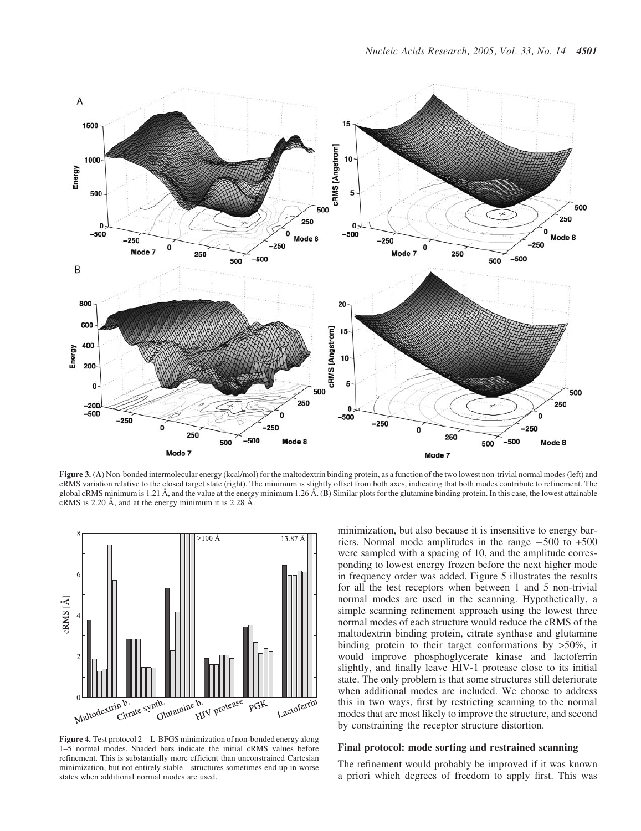

Figure 3. (A) Non-bonded intermolecular energy (kcal/mol) for the maltodextrin binding protein, as a function of the two lowest non-trivial normal modes (left) and cRMS variation relative to the closed target state (right). The minimum is slightly offset from both axes, indicating that both modes contribute to refinement. The global cRMS minimum is 1.21 Å, and the value at the energy minimum 1.26 Å. (B) Similar plots for the glutamine binding protein. In this case, the lowest attainable  $cRMS$  is 2.20 Å, and at the energy minimum it is 2.28 Å.



Figure 4. Test protocol 2—L-BFGS minimization of non-bonded energy along 1–5 normal modes. Shaded bars indicate the initial cRMS values before refinement. This is substantially more efficient than unconstrained Cartesian minimization, but not entirely stable—structures sometimes end up in worse states when additional normal modes are used.

minimization, but also because it is insensitive to energy barriers. Normal mode amplitudes in the range  $-500$  to  $+500$ were sampled with a spacing of 10, and the amplitude corresponding to lowest energy frozen before the next higher mode in frequency order was added. Figure 5 illustrates the results for all the test receptors when between 1 and 5 non-trivial normal modes are used in the scanning. Hypothetically, a simple scanning refinement approach using the lowest three normal modes of each structure would reduce the cRMS of the maltodextrin binding protein, citrate synthase and glutamine binding protein to their target conformations by >50%, it would improve phosphoglycerate kinase and lactoferrin slightly, and finally leave HIV-1 protease close to its initial state. The only problem is that some structures still deteriorate when additional modes are included. We choose to address this in two ways, first by restricting scanning to the normal modes that are most likely to improve the structure, and second by constraining the receptor structure distortion.

## Final protocol: mode sorting and restrained scanning

The refinement would probably be improved if it was known a priori which degrees of freedom to apply first. This was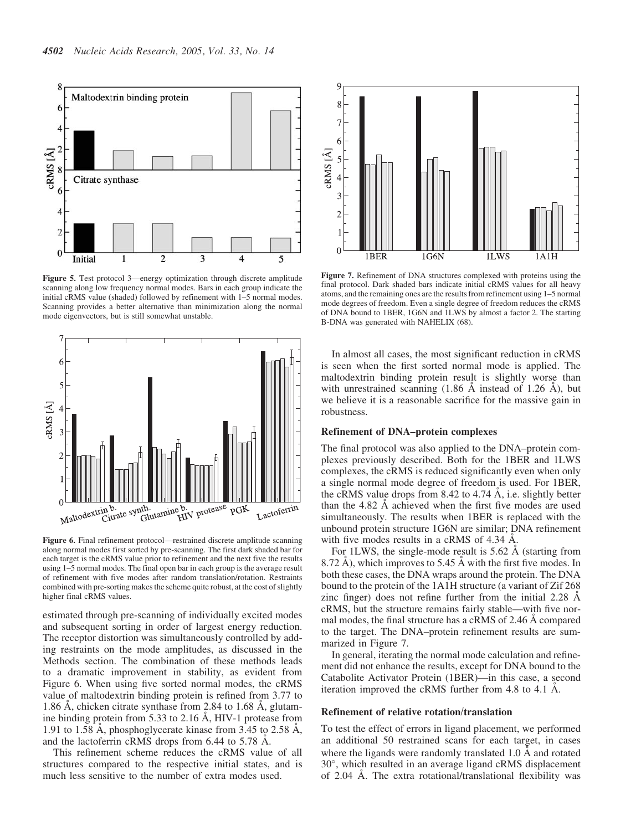

Figure 5. Test protocol 3—energy optimization through discrete amplitude scanning along low frequency normal modes. Bars in each group indicate the initial cRMS value (shaded) followed by refinement with 1–5 normal modes. Scanning provides a better alternative than minimization along the normal mode eigenvectors, but is still somewhat unstable.



Figure 6. Final refinement protocol—restrained discrete amplitude scanning along normal modes first sorted by pre-scanning. The first dark shaded bar for each target is the cRMS value prior to refinement and the next five the results using 1–5 normal modes. The final open bar in each group is the average result of refinement with five modes after random translation/rotation. Restraints combined with pre-sorting makes the scheme quite robust, at the cost of slightly higher final cRMS values.

estimated through pre-scanning of individually excited modes and subsequent sorting in order of largest energy reduction. The receptor distortion was simultaneously controlled by adding restraints on the mode amplitudes, as discussed in the Methods section. The combination of these methods leads to a dramatic improvement in stability, as evident from Figure 6. When using five sorted normal modes, the cRMS value of maltodextrin binding protein is refined from 3.77 to 1.86 Å, chicken citrate synthase from 2.84 to 1.68 Å, glutamine binding protein from  $5.33$  to  $2.16 \text{ Å}$ , HIV-1 protease from 1.91 to 1.58  $\AA$ , phosphoglycerate kinase from 3.45 to 2.58  $\AA$ , and the lactoferrin cRMS drops from 6.44 to 5.78 A.

This refinement scheme reduces the cRMS value of all structures compared to the respective initial states, and is much less sensitive to the number of extra modes used.



Figure 7. Refinement of DNA structures complexed with proteins using the final protocol. Dark shaded bars indicate initial cRMS values for all heavy atoms, and the remaining ones are the results from refinement using 1–5 normal mode degrees of freedom. Even a single degree of freedom reduces the cRMS of DNA bound to 1BER, 1G6N and 1LWS by almost a factor 2. The starting B-DNA was generated with NAHELIX (68).

In almost all cases, the most significant reduction in cRMS is seen when the first sorted normal mode is applied. The maltodextrin binding protein result is slightly worse than with unrestrained scanning  $(1.86 \text{ Å}$  instead of 1.26  $\text{Å}$ ), but we believe it is a reasonable sacrifice for the massive gain in robustness.

## Refinement of DNA–protein complexes

The final protocol was also applied to the DNA–protein complexes previously described. Both for the 1BER and 1LWS complexes, the cRMS is reduced significantly even when only a single normal mode degree of freedom is used. For 1BER, the cRMS value drops from 8.42 to 4.74  $\AA$ , i.e. slightly better than the 4.82 Å achieved when the first five modes are used simultaneously. The results when 1BER is replaced with the unbound protein structure 1G6N are similar; DNA refinement with five modes results in a cRMS of 4.34 Å.

For 1LWS, the single-mode result is  $5.62 \text{ Å}$  (starting from 8.72 Å), which improves to 5.45 Å with the first five modes. In both these cases, the DNA wraps around the protein. The DNA bound to the protein of the 1A1H structure (a variant of Zif 268 zinc finger) does not refine further from the initial  $2.28 \text{ Å}$ cRMS, but the structure remains fairly stable—with five normal modes, the final structure has a cRMS of  $2.46 \text{ Å}$  compared to the target. The DNA–protein refinement results are summarized in Figure 7.

In general, iterating the normal mode calculation and refinement did not enhance the results, except for DNA bound to the Catabolite Activator Protein (1BER)—in this case, a second iteration improved the cRMS further from  $4.8$  to  $4.1$   $\AA$ .

## Refinement of relative rotation/translation

To test the effect of errors in ligand placement, we performed an additional 50 restrained scans for each target, in cases where the ligands were randomly translated  $1.0 \text{ Å}$  and rotated 30 , which resulted in an average ligand cRMS displacement of 2.04 Å. The extra rotational/translational flexibility was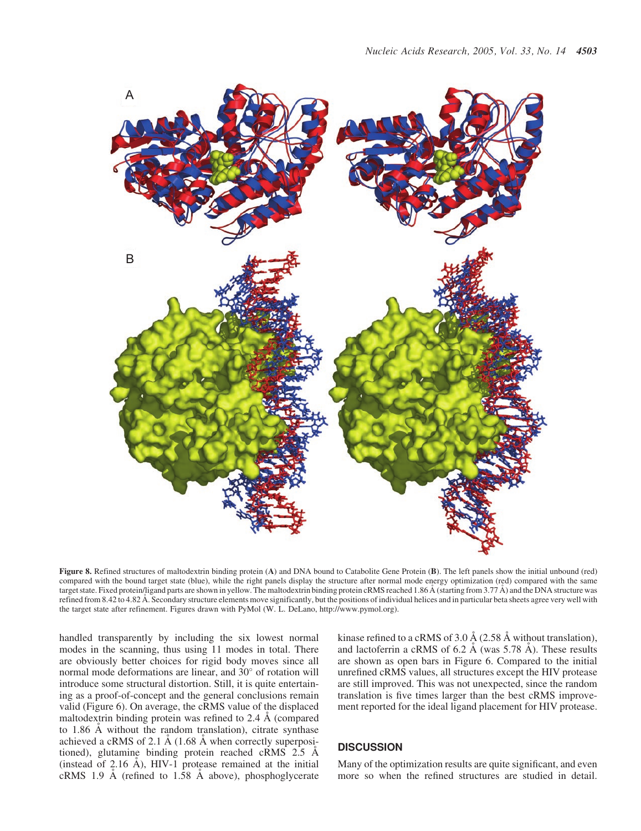

Figure 8. Refined structures of maltodextrin binding protein (A) and DNA bound to Catabolite Gene Protein (B). The left panels show the initial unbound (red) compared with the bound target state (blue), while the right panels display the structure after normal mode energy optimization (red) compared with the same target state. Fixed protein/ligand parts are shown in yellow. The maltodextrin binding protein cRMS reached 1.86 Å (starting from 3.77 Å) and the DNA structure was refined from 8.42 to 4.82 Å. Secondary structure elements move significantly, but the positions of individual helices and in particular beta sheets agree very well with the target state after refinement. Figures drawn with PyMol (W. L. DeLano,<http://www.pymol.org>).

handled transparently by including the six lowest normal modes in the scanning, thus using 11 modes in total. There are obviously better choices for rigid body moves since all normal mode deformations are linear, and 30 of rotation will introduce some structural distortion. Still, it is quite entertaining as a proof-of-concept and the general conclusions remain valid (Figure 6). On average, the cRMS value of the displaced maltodextrin binding protein was refined to  $2.4 \text{ Å}$  (compared to 1.86 Å without the random translation), citrate synthase achieved a cRMS of 2.1  $\AA$  (1.68  $\AA$  when correctly superpositioned), glutamine binding protein reached cRMS  $2.5$  Å (instead of  $2.16$  Å), HIV-1 protease remained at the initial cRMS 1.9  $\AA$  (refined to 1.58  $\AA$  above), phosphoglycerate kinase refined to a cRMS of 3.0  $\AA$  (2.58  $\AA$  without translation), and lactoferrin a cRMS of 6.2  $\AA$  (was 5.78  $\AA$ ). These results are shown as open bars in Figure 6. Compared to the initial unrefined cRMS values, all structures except the HIV protease are still improved. This was not unexpected, since the random translation is five times larger than the best cRMS improvement reported for the ideal ligand placement for HIV protease.

## **DISCUSSION**

Many of the optimization results are quite significant, and even more so when the refined structures are studied in detail.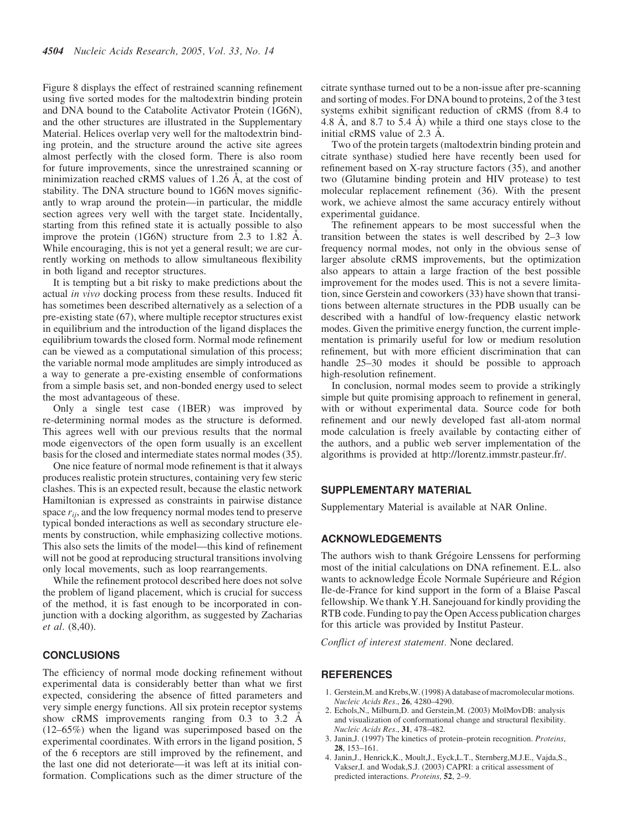Figure 8 displays the effect of restrained scanning refinement using five sorted modes for the maltodextrin binding protein and DNA bound to the Catabolite Activator Protein (1G6N), and the other structures are illustrated in the Supplementary Material. Helices overlap very well for the maltodextrin binding protein, and the structure around the active site agrees almost perfectly with the closed form. There is also room for future improvements, since the unrestrained scanning or minimization reached cRMS values of 1.26 A, at the cost of stability. The DNA structure bound to 1G6N moves significantly to wrap around the protein—in particular, the middle section agrees very well with the target state. Incidentally, starting from this refined state it is actually possible to also improve the protein  $(1G6N)$  structure from 2.3 to 1.82 Å. While encouraging, this is not yet a general result; we are currently working on methods to allow simultaneous flexibility in both ligand and receptor structures.

It is tempting but a bit risky to make predictions about the actual in vivo docking process from these results. Induced fit has sometimes been described alternatively as a selection of a pre-existing state (67), where multiple receptor structures exist in equilibrium and the introduction of the ligand displaces the equilibrium towards the closed form. Normal mode refinement can be viewed as a computational simulation of this process; the variable normal mode amplitudes are simply introduced as a way to generate a pre-existing ensemble of conformations from a simple basis set, and non-bonded energy used to select the most advantageous of these.

Only a single test case (1BER) was improved by re-determining normal modes as the structure is deformed. This agrees well with our previous results that the normal mode eigenvectors of the open form usually is an excellent basis for the closed and intermediate states normal modes (35).

One nice feature of normal mode refinement is that it always produces realistic protein structures, containing very few steric clashes. This is an expected result, because the elastic network Hamiltonian is expressed as constraints in pairwise distance space  $r_{ii}$ , and the low frequency normal modes tend to preserve typical bonded interactions as well as secondary structure elements by construction, while emphasizing collective motions. This also sets the limits of the model—this kind of refinement will not be good at reproducing structural transitions involving only local movements, such as loop rearrangements.

While the refinement protocol described here does not solve the problem of ligand placement, which is crucial for success of the method, it is fast enough to be incorporated in conjunction with a docking algorithm, as suggested by Zacharias et al. (8,40).

# **CONCLUSIONS**

The efficiency of normal mode docking refinement without experimental data is considerably better than what we first expected, considering the absence of fitted parameters and very simple energy functions. All six protein receptor systems show cRMS improvements ranging from  $0.3$  to  $3.2$  Å (12–65%) when the ligand was superimposed based on the experimental coordinates. With errors in the ligand position, 5 of the 6 receptors are still improved by the refinement, and the last one did not deteriorate—it was left at its initial conformation. Complications such as the dimer structure of the citrate synthase turned out to be a non-issue after pre-scanning and sorting of modes. For DNA bound to proteins, 2 of the 3 test systems exhibit significant reduction of cRMS (from 8.4 to 4.8  $\AA$ , and 8.7 to 5.4  $\AA$ ) while a third one stays close to the initial cRMS value of  $2.3 \text{ Å}$ .

Two of the protein targets (maltodextrin binding protein and citrate synthase) studied here have recently been used for refinement based on X-ray structure factors (35), and another two (Glutamine binding protein and HIV protease) to test molecular replacement refinement (36). With the present work, we achieve almost the same accuracy entirely without experimental guidance.

The refinement appears to be most successful when the transition between the states is well described by 2–3 low frequency normal modes, not only in the obvious sense of larger absolute cRMS improvements, but the optimization also appears to attain a large fraction of the best possible improvement for the modes used. This is not a severe limitation, since Gerstein and coworkers (33) have shown that transitions between alternate structures in the PDB usually can be described with a handful of low-frequency elastic network modes. Given the primitive energy function, the current implementation is primarily useful for low or medium resolution refinement, but with more efficient discrimination that can handle 25–30 modes it should be possible to approach high-resolution refinement.

In conclusion, normal modes seem to provide a strikingly simple but quite promising approach to refinement in general, with or without experimental data. Source code for both refinement and our newly developed fast all-atom normal mode calculation is freely available by contacting either of the authors, and a public web server implementation of the algorithms is provided at [http://lorentz.immstr.pasteur.fr/.](http://lorentz.immstr.pasteur.fr/)

## SUPPLEMENTARY MATERIAL

Supplementary Material is available at NAR Online.

## ACKNOWLEDGEMENTS

The authors wish to thank Grégoire Lenssens for performing most of the initial calculations on DNA refinement. E.L. also wants to acknowledge École Normale Supérieure and Région Ile-de-France for kind support in the form of a Blaise Pascal fellowship. We thank Y.H. Sanejouand for kindly providing the RTB code. Funding to pay the Open Access publication charges for this article was provided by Institut Pasteur.

Conflict of interest statement. None declared.

# **REFERENCES**

- 1. Gerstein,M. and Krebs,W. (1998) A database of macromolecular motions. Nucleic Acids Res., 26, 4280–4290.
- 2. Echols,N., Milburn,D. and Gerstein,M. (2003) MolMovDB: analysis and visualization of conformational change and structural flexibility. Nucleic Acids Res., 31, 478–482.
- 3. Janin,J. (1997) The kinetics of protein–protein recognition. Proteins, 28, 153–161.
- 4. Janin,J., Henrick,K., Moult,J., Eyck,L.T., Sternberg,M.J.E., Vajda,S., Vakser,I. and Wodak,S.J. (2003) CAPRI: a critical assessment of predicted interactions. Proteins, 52, 2–9.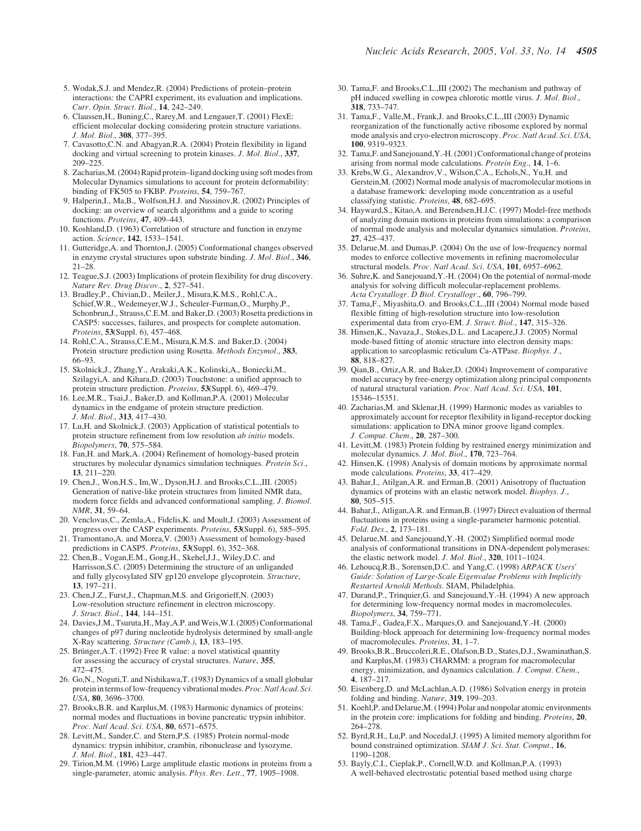- 5. Wodak,S.J. and Mendez,R. (2004) Predictions of protein–protein interactions: the CAPRI experiment, its evaluation and implications. Curr. Opin. Struct. Biol., 14, 242–249.
- 6. Claussen,H., Buning,C., Rarey,M. and Lengauer,T. (2001) FlexE: efficient molecular docking considering protein structure variations. J. Mol. Biol., 308, 377–395.
- 7. Cavasotto,C.N. and Abagyan,R.A. (2004) Protein flexibility in ligand docking and virtual screening to protein kinases. J. Mol. Biol., 337, 209–225.
- 8. Zacharias,M. (2004) Rapid protein–ligand docking using soft modes from Molecular Dynamics simulations to account for protein deformability: binding of FK505 to FKBP. Proteins, 54, 759–767.
- 9. Halperin,I., Ma,B., Wolfson,H.J. and Nussinov,R. (2002) Principles of docking: an overview of search algorithms and a guide to scoring functions. Proteins, 47, 409–443.
- 10. Koshland,D. (1963) Correlation of structure and function in enzyme action. Science, 142, 1533–1541.
- 11. Gutteridge,A. and Thornton,J. (2005) Conformational changes observed in enzyme crystal structures upon substrate binding. J. Mol. Biol., 346, 21–28.
- 12. Teague,S.J. (2003) Implications of protein flexibility for drug discovery. Nature Rev. Drug Discov., 2, 527–541.
- 13. Bradley,P., Chivian,D., Meiler,J., Misura,K.M.S., Rohl,C.A., Schief,W.R., Wedemeyer,W.J., Scheuler-Furman,O., Murphy,P., Schonbrun,J., Strauss,C.E.M. and Baker,D. (2003) Rosetta predictions in CASP5: successes, failures, and prospects for complete automation. Proteins, 53(Suppl. 6), 457–468.
- 14. Rohl,C.A., Strauss,C.E.M., Misura,K.M.S. and Baker,D. (2004) Protein structure prediction using Rosetta. Methods Enzymol., 383, 66–93.
- 15. Skolnick,J., Zhang,Y., Arakaki,A.K., Kolinski,A., Boniecki,M., Szilagyi,A. and Kihara,D. (2003) Touchstone: a unified approach to protein structure prediction. Proteins, 53(Suppl. 6), 469-479.
- 16. Lee,M.R., Tsai,J., Baker,D. and Kollman,P.A. (2001) Molecular dynamics in the endgame of protein structure prediction. J. Mol. Biol., 313, 417–430.
- 17. Lu,H. and Skolnick,J. (2003) Application of statistical potentials to protein structure refinement from low resolution ab initio models. Biopolymers, 70, 575–584.
- 18. Fan,H. and Mark,A. (2004) Refinement of homology-based protein structures by molecular dynamics simulation techniques. Protein Sci., 13, 211–220.
- 19. Chen,J., Won,H.S., Im,W., Dyson,H.J. and Brooks,C.L.,III. (2005) Generation of native-like protein structures from limited NMR data, modern force fields and advanced conformational sampling. J. Biomol. NMR, 31, 59–64.
- 20. Venclovas,C., Zemla,A., Fidelis,K. and Moult,J. (2003) Assessment of progress over the CASP experiments. Proteins, 53(Suppl. 6), 585–595.
- 21. Tramontano,A. and Morea,V. (2003) Assessment of homology-based predictions in CASP5. Proteins, 53(Suppl. 6), 352–368.
- 22. Chen,B., Vogan,E.M., Gong,H., Skehel,J.J., Wiley,D.C. and Harrisson,S.C. (2005) Determining the structure of an unliganded and fully glycosylated SIV gp120 envelope glycoprotein. Structure, 13, 197–211.
- 23. Chen,J.Z., Furst,J., Chapman,M.S. and Grigorieff,N. (2003) Low-resolution structure refinement in electron microscopy. J. Struct. Biol., 144, 144–151.
- 24. Davies,J.M., Tsuruta,H., May,A.P. and Weis,W.I. (2005) Conformational changes of p97 during nucleotide hydrolysis determined by small-angle X-Ray scattering. Structure (Camb.), 13, 183–195.
- 25. Brünger, A.T. (1992) Free R value: a novel statistical quantity for assessing the accuracy of crystal structures. Nature, 355, 472–475.
- 26. Go,N., Noguti,T. and Nishikawa,T. (1983) Dynamics of a small globular protein in terms of low-frequency vibrational modes. Proc. Natl Acad. Sci. USA, 80, 3696–3700.
- 27. Brooks,B.R. and Karplus,M. (1983) Harmonic dynamics of proteins: normal modes and fluctuations in bovine pancreatic trypsin inhibitor. Proc. Natl Acad. Sci. USA, 80, 6571–6575.
- 28. Levitt,M., Sander,C. and Stern,P.S. (1985) Protein normal-mode dynamics: trypsin inhibitor, crambin, ribonuclease and lysozyme. J. Mol. Biol., 181, 423–447.
- 29. Tirion,M.M. (1996) Large amplitude elastic motions in proteins from a single-parameter, atomic analysis. Phys. Rev. Lett., 77, 1905–1908.
- 30. Tama,F. and Brooks,C.L.,III (2002) The mechanism and pathway of pH induced swelling in cowpea chlorotic mottle virus. J. Mol. Biol., 318, 733–747.
- 31. Tama,F., Valle,M., Frank,J. and Brooks,C.L.,III (2003) Dynamic reorganization of the functionally active ribosome explored by normal mode analysis and cryo-electron microscopy. Proc. Natl Acad. Sci. USA, 100, 9319–9323.
- 32. Tama,F. and Sanejouand,Y.-H. (2001) Conformational change of proteins arising from normal mode calculations. Protein Eng., 14, 1–6.
- 33. Krebs,W.G., Alexandrov,V., Wilson,C.A., Echols,N., Yu,H. and Gerstein,M. (2002) Normal mode analysis of macromolecular motions in a database framework: developing mode concentration as a useful classifying statistic. Proteins, 48, 682–695.
- 34. Hayward,S., Kitao,A. and Berendsen,H.J.C. (1997) Model-free methods of analyzing domain motions in proteins from simulations: a comparison of normal mode analysis and molecular dynamics simulation. Proteins, 27, 425–437.
- 35. Delarue,M. and Dumas,P. (2004) On the use of low-frequency normal modes to enforce collective movements in refining macromolecular structural models. Proc. Natl Acad. Sci. USA, 101, 6957-6962.
- 36. Suhre,K. and Sanejouand,Y.-H. (2004) On the potential of normal-mode analysis for solving difficult molecular-replacement problems. Acta Crystallogr. D Biol. Crystallogr., 60, 796–799.
- 37. Tama,F., Miyashita,O. and Brooks,C.L.,III (2004) Normal mode based flexible fitting of high-resolution structure into low-resolution experimental data from cryo-EM. J. Struct. Biol., 147, 315–326.
- 38. Hinsen,K., Navaza,J., Stokes,D.L. and Lacapere,J.J. (2005) Normal mode-based fitting of atomic structure into electron density maps: application to sarcoplasmic reticulum Ca-ATPase. Biophys. J., 88, 818–827.
- 39. Qian,B., Ortiz,A.R. and Baker,D. (2004) Improvement of comparative model accuracy by free-energy optimization along principal components of natural structural variation. Proc. Natl Acad. Sci. USA, 101, 15346–15351.
- 40. Zacharias,M. and Sklenar,H. (1999) Harmonic modes as variables to approximately account for receptor flexibility in ligand-receptor docking simulations: application to DNA minor groove ligand complex. J. Comput. Chem., 20, 287–300.
- 41. Levitt,M. (1983) Protein folding by restrained energy minimization and molecular dynamics. J. Mol. Biol., 170, 723–764.
- 42. Hinsen,K. (1998) Analysis of domain motions by approximate normal mode calculations. Proteins, 33, 417–429.
- 43. Bahar,I., Atilgan,A.R. and Erman,B. (2001) Anisotropy of fluctuation dynamics of proteins with an elastic network model. Biophys. J., 80, 505–515.
- 44. Bahar,I., Atligan,A.R. and Erman,B. (1997) Direct evaluation of thermal fluctuations in proteins using a single-parameter harmonic potential. Fold. Des., 2, 173–181.
- 45. Delarue,M. and Sanejouand,Y.-H. (2002) Simplified normal mode analysis of conformational transitions in DNA-dependent polymerases: the elastic network model. J. Mol. Biol., 320, 1011–1024.
- 46. Lehoucq,R.B., Sorensen,D.C. and Yang,C. (1998) ARPACK Users' Guide: Solution of Large-Scale Eigenvalue Problems with Implicitly Restarted Arnoldi Methods. SIAM, Philadelphia.
- 47. Durand,P., Trinquier,G. and Sanejouand,Y.-H. (1994) A new approach for determining low-frequency normal modes in macromolecules. Biopolymers, 34, 759–771.
- 48. Tama,F., Gadea,F.X., Marques,O. and Sanejouand,Y.-H. (2000) Building-block approach for determining low-frequency normal modes of macromolecules. Proteins, 31, 1–7.
- 49. Brooks,B.R., Bruccoleri,R.E., Olafson,B.D., States,D.J., Swaminathan,S. and Karplus,M. (1983) CHARMM: a program for macromolecular energy, minimization, and dynamics calculation. J. Comput. Chem., 4, 187–217.
- 50. Eisenberg,D. and McLachlan,A.D. (1986) Solvation energy in protein folding and binding. Nature, 319, 199–203.
- 51. Koehl,P. and Delarue,M. (1994) Polar and nonpolar atomic environments in the protein core: implications for folding and binding. Proteins, 20, 264–278.
- 52. Byrd,R.H., Lu,P. and Nocedal,J. (1995) A limited memory algorithm for bound constrained optimization. SIAM J. Sci. Stat. Comput., 16, 1190–1208.
- 53. Bayly,C.I., Cieplak,P., Cornell,W.D. and Kollman,P.A. (1993) A well-behaved electrostatic potential based method using charge